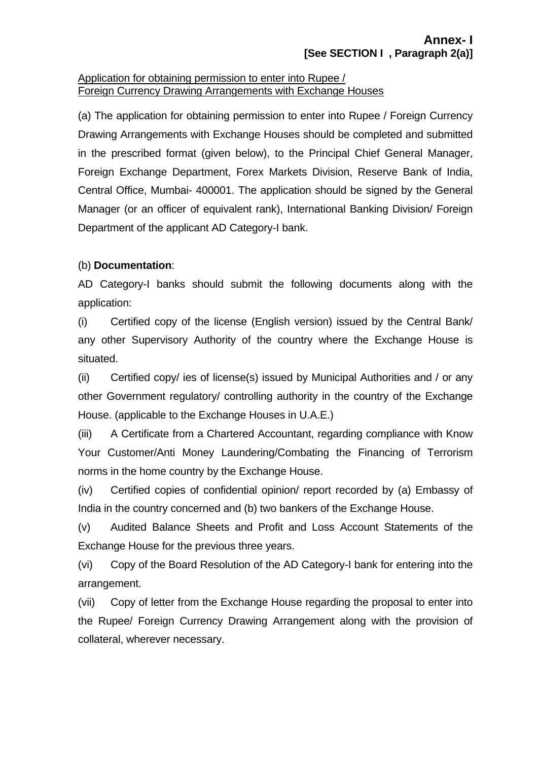#### Application for obtaining permission to enter into Rupee / Foreign Currency Drawing Arrangements with Exchange Houses

(a) The application for obtaining permission to enter into Rupee / Foreign Currency Drawing Arrangements with Exchange Houses should be completed and submitted in the prescribed format (given below), to the Principal Chief General Manager, Foreign Exchange Department, Forex Markets Division, Reserve Bank of India, Central Office, Mumbai- 400001. The application should be signed by the General Manager (or an officer of equivalent rank), International Banking Division/ Foreign Department of the applicant AD Category-I bank.

## (b) **Documentation**:

AD Category-I banks should submit the following documents along with the application:

(i) Certified copy of the license (English version) issued by the Central Bank/ any other Supervisory Authority of the country where the Exchange House is situated.

(ii)Certified copy/ ies of license(s) issued by Municipal Authorities and / or any other Government regulatory/ controlling authority in the country of the Exchange House. (applicable to the Exchange Houses in U.A.E.)

(iii) A Certificate from a Chartered Accountant, regarding compliance with Know Your Customer/Anti Money Laundering/Combating the Financing of Terrorism norms in the home country by the Exchange House.

(iv) Certified copies of confidential opinion/ report recorded by (a) Embassy of India in the country concerned and (b) two bankers of the Exchange House.

(v) Audited Balance Sheets and Profit and Loss Account Statements of the Exchange House for the previous three years.

(vi) Copy of the Board Resolution of the AD Category-I bank for entering into the arrangement.

(vii) Copy of letter from the Exchange House regarding the proposal to enter into the Rupee/ Foreign Currency Drawing Arrangement along with the provision of collateral, wherever necessary.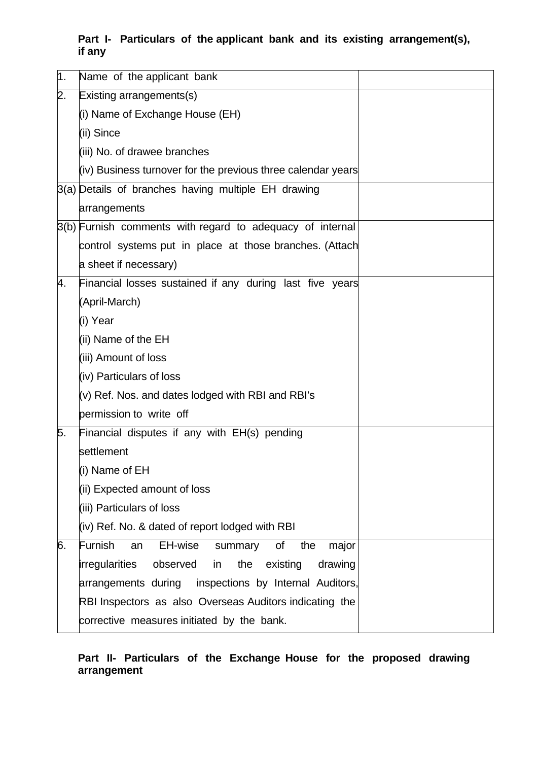### **Part I- Particulars of the applicant bank and its existing arrangement(s), if any**

| 1  | Name of the applicant bank                                     |  |
|----|----------------------------------------------------------------|--|
| 2. | Existing arrangements(s)                                       |  |
|    | (i) Name of Exchange House (EH)                                |  |
|    | (ii) Since                                                     |  |
|    | (iii) No. of drawee branches                                   |  |
|    | (iv) Business turnover for the previous three calendar years   |  |
|    | 3(a) Details of branches having multiple EH drawing            |  |
|    | arrangements                                                   |  |
|    | 3(b) Furnish comments with regard to adequacy of internal      |  |
|    | control systems put in place at those branches. (Attach        |  |
|    | a sheet if necessary)                                          |  |
| 4. | Financial losses sustained if any during last five years       |  |
|    | (April-March)                                                  |  |
|    | (i) Year                                                       |  |
|    | (ii) Name of the EH                                            |  |
|    | (iii) Amount of loss                                           |  |
|    | (iv) Particulars of loss                                       |  |
|    | (v) Ref. Nos. and dates lodged with RBI and RBI's              |  |
|    | permission to write off                                        |  |
| 5. | Financial disputes if any with EH(s) pending                   |  |
|    | settlement                                                     |  |
|    | (i) Name of EH                                                 |  |
|    | (ii) Expected amount of loss                                   |  |
|    | (iii) Particulars of loss                                      |  |
|    | (iv) Ref. No. & dated of report lodged with RBI                |  |
| 6. | Furnish<br>EH-wise<br>the<br>Οf<br>an<br>summary<br>major      |  |
|    | irregularities<br>observed<br>the<br>existing<br>drawing<br>in |  |
|    | arrangements during inspections by Internal Auditors,          |  |
|    | RBI Inspectors as also Overseas Auditors indicating the        |  |
|    | corrective measures initiated by the bank.                     |  |

### **Part II- Particulars of the Exchange House for the proposed drawing arrangement**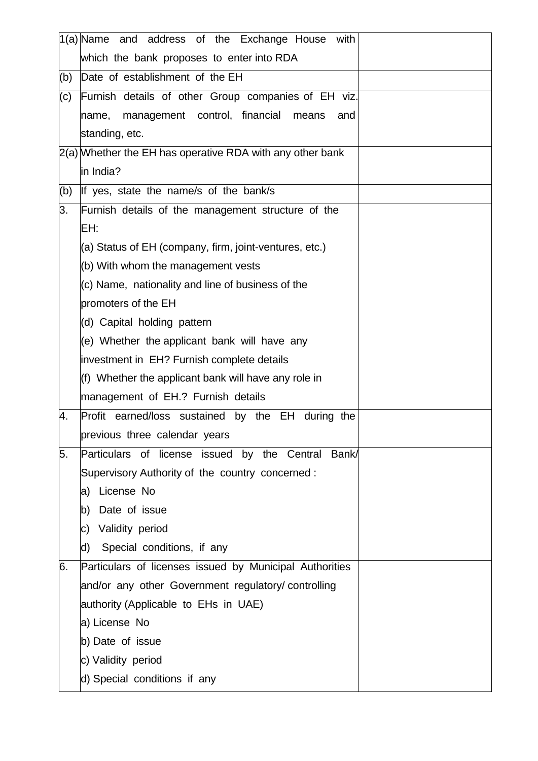|     | 1(a) Name and address of the Exchange House with            |
|-----|-------------------------------------------------------------|
|     | which the bank proposes to enter into RDA                   |
| (b) | Date of establishment of the EH                             |
| (c) | Furnish details of other Group companies of EH viz.         |
|     | name, management control, financial<br>means<br>and         |
|     | standing, etc.                                              |
|     | $2(a)$ Whether the EH has operative RDA with any other bank |
|     | in India?                                                   |
| (b) | If yes, state the name/s of the bank/s                      |
| 3.  | Furnish details of the management structure of the          |
|     | EH:                                                         |
|     | (a) Status of EH (company, firm, joint-ventures, etc.)      |
|     | (b) With whom the management vests                          |
|     | (c) Name, nationality and line of business of the           |
|     | promoters of the EH                                         |
|     | (d) Capital holding pattern                                 |
|     | (e) Whether the applicant bank will have any                |
|     | investment in EH? Furnish complete details                  |
|     | (f) Whether the applicant bank will have any role in        |
|     | management of EH.? Furnish details                          |
| 4.  | Profit earned/loss sustained by the EH<br>during the        |
|     | previous three calendar years                               |
| 5.  | Particulars of license issued by the Central<br>Bank/       |
|     | Supervisory Authority of the country concerned:             |
|     | License No<br>a)                                            |
|     | Date of issue<br>b)                                         |
|     | Validity period<br>C)                                       |
|     | Special conditions, if any<br>d)                            |
| 6.  | Particulars of licenses issued by Municipal Authorities     |
|     | and/or any other Government regulatory/ controlling         |
|     | authority (Applicable to EHs in UAE)                        |
|     | a) License No                                               |
|     | b) Date of issue                                            |
|     | c) Validity period                                          |
|     | d) Special conditions if any                                |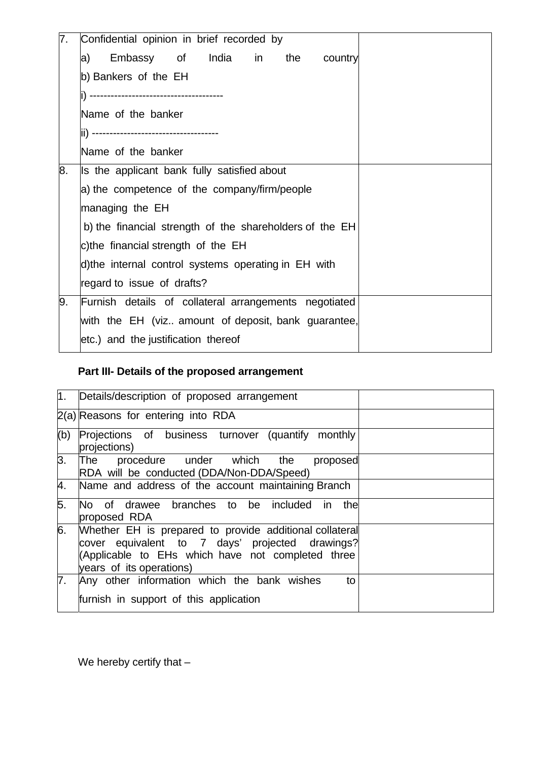| 7. | Confidential opinion in brief recorded by               |
|----|---------------------------------------------------------|
|    | Embassy of India in<br>the<br>country<br>a)             |
|    | b) Bankers of the EH                                    |
|    | --------------------------------------                  |
|    | Name of the banker                                      |
|    |                                                         |
|    | Name of the banker                                      |
| 8. | Is the applicant bank fully satisfied about             |
|    | a) the competence of the company/firm/people            |
|    | managing the EH                                         |
|    | b) the financial strength of the shareholders of the EH |
|    | c)the financial strength of the EH                      |
|    | d)the internal control systems operating in EH with     |
|    | regard to issue of drafts?                              |
| 9. | Furnish details of collateral arrangements negotiated   |
|    | with the EH (viz amount of deposit, bank guarantee,     |
|    | etc.) and the justification thereof                     |

# **Part III- Details of the proposed arrangement**

|     | 1. Details/description of proposed arrangement                                                                                                                                              |  |
|-----|---------------------------------------------------------------------------------------------------------------------------------------------------------------------------------------------|--|
|     | 2(a) Reasons for entering into RDA                                                                                                                                                          |  |
| (b) | Projections of business turnover (quantify<br>monthly<br>projections)                                                                                                                       |  |
| 3.  | procedure under which the<br>The<br>proposed<br>RDA will be conducted (DDA/Non-DDA/Speed)                                                                                                   |  |
| 4.  | Name and address of the account maintaining Branch                                                                                                                                          |  |
| 5.  | No of drawee branches to be included in the<br>proposed RDA                                                                                                                                 |  |
| 6.  | Whether EH is prepared to provide additional collateral<br>cover equivalent to 7 days' projected drawings?<br>(Applicable to EHs which have not completed three<br>years of its operations) |  |
| 7.  | Any other information which the bank wishes<br>to<br>furnish in support of this application                                                                                                 |  |

We hereby certify that -